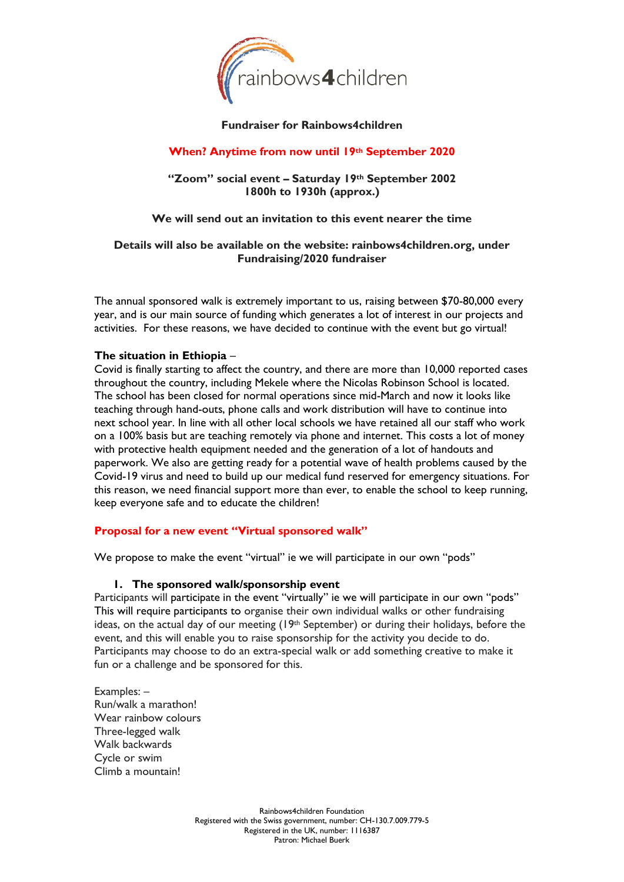

## **Fundraiser for Rainbows4children**

# **When? Anytime from now until 19th September 2020**

## **"Zoom" social event – Saturday 19th September 2002 1800h to 1930h (approx.)**

## **We will send out an invitation to this event nearer the time**

## **Details will also be available on the website: rainbows4children.org, under Fundraising/2020 fundraiser**

The annual sponsored walk is extremely important to us, raising between \$70-80,000 every year, and is our main source of funding which generates a lot of interest in our projects and activities. For these reasons, we have decided to continue with the event but go virtual!

#### **The situation in Ethiopia** –

Covid is finally starting to affect the country, and there are more than 10,000 reported cases throughout the country, including Mekele where the Nicolas Robinson School is located. The school has been closed for normal operations since mid-March and now it looks like teaching through hand-outs, phone calls and work distribution will have to continue into next school year. In line with all other local schools we have retained all our staff who work on a 100% basis but are teaching remotely via phone and internet. This costs a lot of money with protective health equipment needed and the generation of a lot of handouts and paperwork. We also are getting ready for a potential wave of health problems caused by the Covid-19 virus and need to build up our medical fund reserved for emergency situations. For this reason, we need financial support more than ever, to enable the school to keep running, keep everyone safe and to educate the children!

## **Proposal for a new event "Virtual sponsored walk"**

We propose to make the event "virtual" ie we will participate in our own "pods"

#### **1. The sponsored walk/sponsorship event**

Participants will participate in the event "virtually" ie we will participate in our own "pods" This will require participants to organise their own individual walks or other fundraising ideas, on the actual day of our meeting (19th September) or during their holidays, before the event, and this will enable you to raise sponsorship for the activity you decide to do. Participants may choose to do an extra-special walk or add something creative to make it fun or a challenge and be sponsored for this.

Examples: – Run/walk a marathon! Wear rainbow colours Three-legged walk Walk backwards Cycle or swim Climb a mountain!

> Rainbows4children Foundation Registered with the Swiss government, number: CH-130.7.009.779-5 Registered in the UK, number: 1116387 Patron: Michael Buerk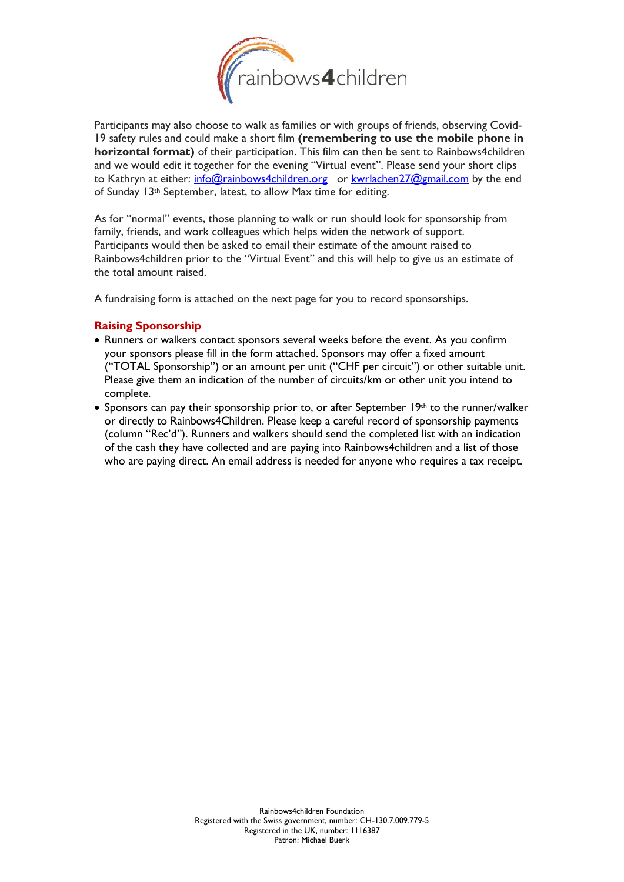

Participants may also choose to walk as families or with groups of friends, observing Covid-19 safety rules and could make a short film **(remembering to use the mobile phone in horizontal format)** of their participation. This film can then be sent to Rainbows4children and we would edit it together for the evening "Virtual event". Please send your short clips to Kathryn at either: [info@rainbows4children.org](mailto:info@rainbows4children.org) or [kwrlachen27@gmail.com](mailto:kwrlachen27@gmail.com) by the end of Sunday 13th September, latest, to allow Max time for editing.

As for "normal" events, those planning to walk or run should look for sponsorship from family, friends, and work colleagues which helps widen the network of support. Participants would then be asked to email their estimate of the amount raised to Rainbows4children prior to the "Virtual Event" and this will help to give us an estimate of the total amount raised.

A fundraising form is attached on the next page for you to record sponsorships.

# **Raising Sponsorship**

- Runners or walkers contact sponsors several weeks before the event. As you confirm your sponsors please fill in the form attached. Sponsors may offer a fixed amount ("TOTAL Sponsorship") or an amount per unit ("CHF per circuit") or other suitable unit. Please give them an indication of the number of circuits/km or other unit you intend to complete.
- Sponsors can pay their sponsorship prior to, or after September 19th to the runner/walker or directly to Rainbows4Children. Please keep a careful record of sponsorship payments (column "Rec'd"). Runners and walkers should send the completed list with an indication of the cash they have collected and are paying into Rainbows4children and a list of those who are paying direct. An email address is needed for anyone who requires a tax receipt.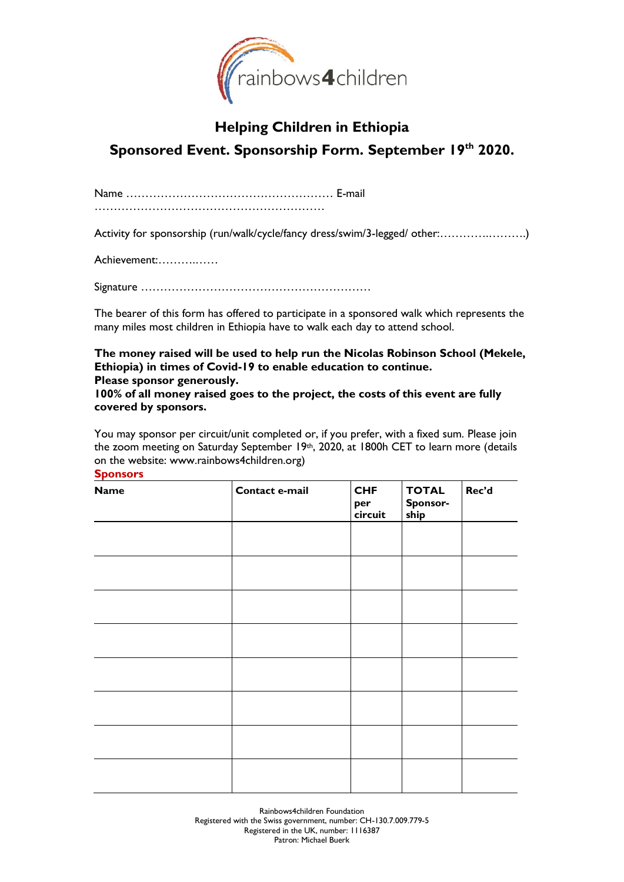

# **Helping Children in Ethiopia Sponsored Event. Sponsorship Form. September 19 th 2020.**

Name ……………………………………………… E-mail ……………………………………………………

Activity for sponsorship (run/walk/cycle/fancy dress/swim/3-legged/ other:………….……….)

Achievement:……….……

Signature ……………………………………………………

The bearer of this form has offered to participate in a sponsored walk which represents the many miles most children in Ethiopia have to walk each day to attend school.

**The money raised will be used to help run the Nicolas Robinson School (Mekele, Ethiopia) in times of Covid-19 to enable education to continue. Please sponsor generously.** 

**100% of all money raised goes to the project, the costs of this event are fully covered by sponsors.**

You may sponsor per circuit/unit completed or, if you prefer, with a fixed sum. Please join the zoom meeting on Saturday September 19th, 2020, at 1800h CET to learn more (details on the website: www.rainbows4children.org) **Sponsors**

**Name Contact e-mail CHF per circuit TOTAL Sponsorship Rec'd**

> Rainbows4children Foundation Registered with the Swiss government, number: CH-130.7.009.779-5 Registered in the UK, number: 1116387 Patron: Michael Buerk